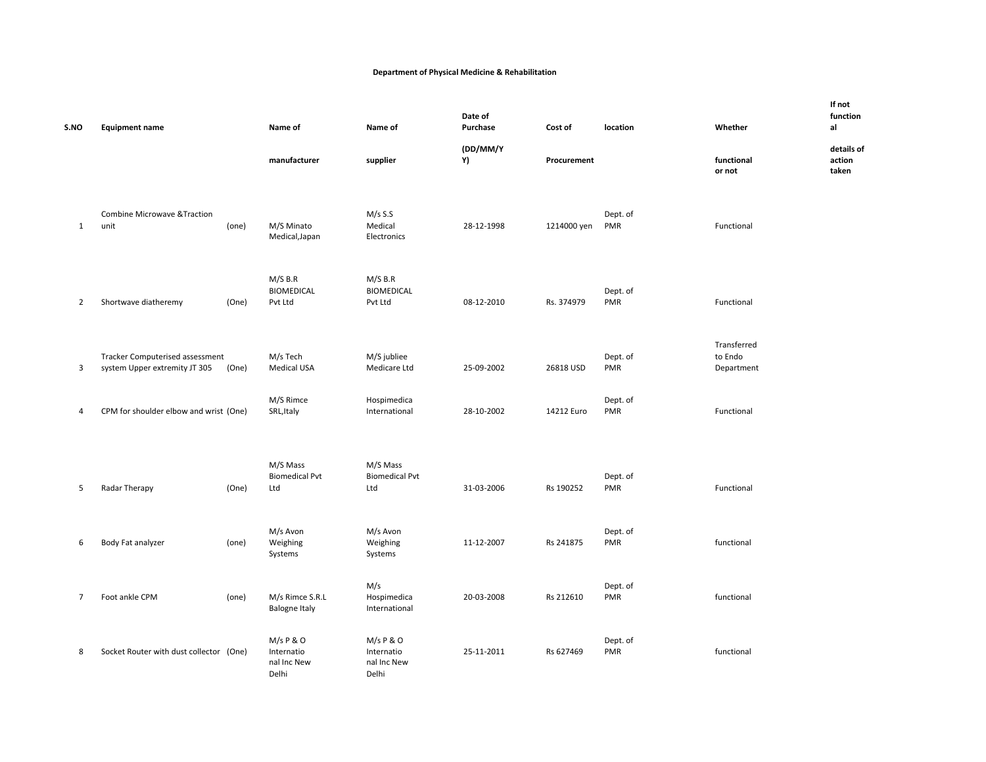## **Department of Physical Medicine & Rehabilitation**

| S.NO           | <b>Equipment name</b>                                            |       | Name of                                         | Name of                                         | Date of<br>Purchase | Cost of         | location               | Whether                              | If not<br>function<br>al      |
|----------------|------------------------------------------------------------------|-------|-------------------------------------------------|-------------------------------------------------|---------------------|-----------------|------------------------|--------------------------------------|-------------------------------|
|                |                                                                  |       | manufacturer                                    | supplier                                        | (DD/MM/Y<br>Y)      | Procurement     |                        | functional<br>or not                 | details of<br>action<br>taken |
| $\mathbf{1}$   | <b>Combine Microwave &amp; Traction</b><br>unit                  | (one) | M/S Minato<br>Medical, Japan                    | $M/s$ S.S<br>Medical<br>Electronics             | 28-12-1998          | 1214000 yen PMR | Dept. of               | Functional                           |                               |
| $\overline{2}$ | Shortwave diatheremy                                             | (One) | $M/S$ B.R<br><b>BIOMEDICAL</b><br>Pvt Ltd       | $M/S$ B.R<br><b>BIOMEDICAL</b><br>Pvt Ltd       | 08-12-2010          | Rs. 374979      | Dept. of<br>PMR        | Functional                           |                               |
| 3              | Tracker Computerised assessment<br>system Upper extremity JT 305 | (One) | M/s Tech<br><b>Medical USA</b>                  | M/S jubliee<br>Medicare Ltd                     | 25-09-2002          | 26818 USD       | Dept. of<br>PMR        | Transferred<br>to Endo<br>Department |                               |
| 4              | CPM for shoulder elbow and wrist (One)                           |       | M/S Rimce<br>SRL, Italy                         | Hospimedica<br>International                    | 28-10-2002          | 14212 Euro      | Dept. of<br>PMR        | Functional                           |                               |
| 5              | Radar Therapy                                                    | (One) | M/S Mass<br><b>Biomedical Pvt</b><br>Ltd        | M/S Mass<br><b>Biomedical Pvt</b><br>Ltd        | 31-03-2006          | Rs 190252       | Dept. of<br><b>PMR</b> | Functional                           |                               |
| 6              | Body Fat analyzer                                                | (one) | M/s Avon<br>Weighing<br>Systems                 | M/s Avon<br>Weighing<br>Systems                 | 11-12-2007          | Rs 241875       | Dept. of<br>PMR        | functional                           |                               |
| 7              | Foot ankle CPM                                                   | (one) | M/s Rimce S.R.L<br><b>Balogne Italy</b>         | M/s<br>Hospimedica<br>International             | 20-03-2008          | Rs 212610       | Dept. of<br><b>PMR</b> | functional                           |                               |
| 8              | Socket Router with dust collector (One)                          |       | M/s P & O<br>Internatio<br>nal Inc New<br>Delhi | M/s P & O<br>Internatio<br>nal Inc New<br>Delhi | 25-11-2011          | Rs 627469       | Dept. of<br>PMR        | functional                           |                               |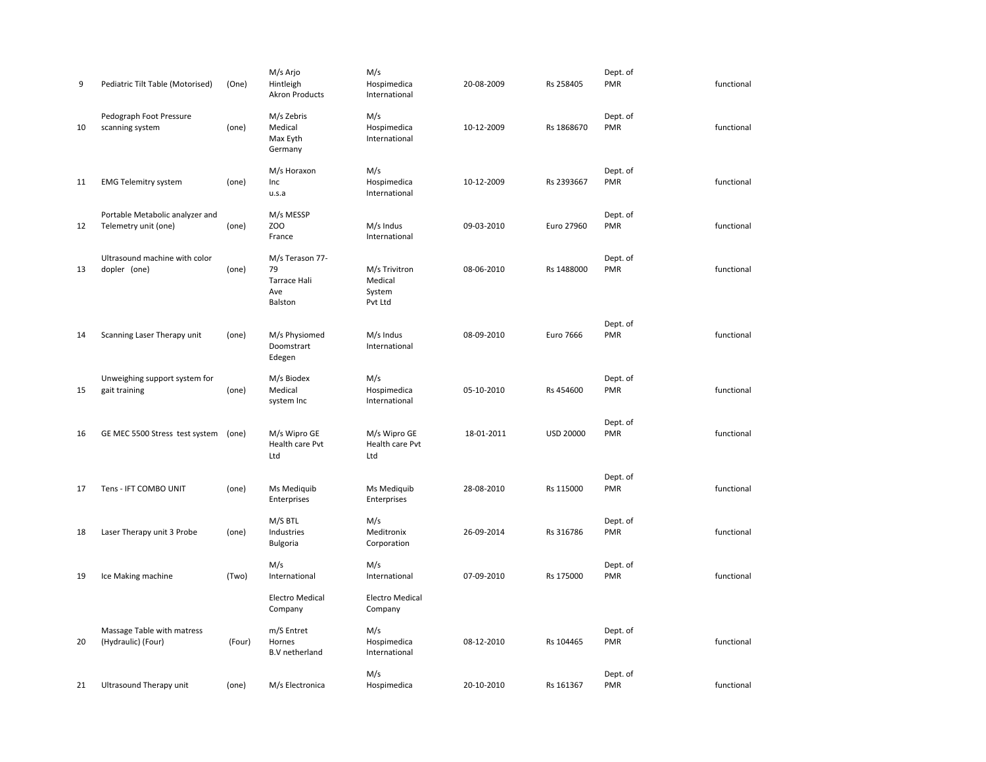| 9  | Pediatric Tilt Table (Motorised)                        | (One)  | M/s Arjo<br>Hintleigh<br><b>Akron Products</b>          | M/s<br>Hospimedica<br>International           | 20-08-2009 | Rs 258405        | Dept. of<br>PMR        | functional |
|----|---------------------------------------------------------|--------|---------------------------------------------------------|-----------------------------------------------|------------|------------------|------------------------|------------|
| 10 | Pedograph Foot Pressure<br>scanning system              | (one)  | M/s Zebris<br>Medical<br>Max Eyth<br>Germany            | M/s<br>Hospimedica<br>International           | 10-12-2009 | Rs 1868670       | Dept. of<br><b>PMR</b> | functional |
| 11 | <b>EMG Telemitry system</b>                             | (one)  | M/s Horaxon<br>Inc<br>u.s.a                             | M/s<br>Hospimedica<br>International           | 10-12-2009 | Rs 2393667       | Dept. of<br><b>PMR</b> | functional |
| 12 | Portable Metabolic analyzer and<br>Telemetry unit (one) | (one)  | M/s MESSP<br>ZOO<br>France                              | M/s Indus<br>International                    | 09-03-2010 | Euro 27960       | Dept. of<br><b>PMR</b> | functional |
| 13 | Ultrasound machine with color<br>dopler (one)           | (one)  | M/s Terason 77-<br>79<br>Tarrace Hali<br>Ave<br>Balston | M/s Trivitron<br>Medical<br>System<br>Pvt Ltd | 08-06-2010 | Rs 1488000       | Dept. of<br><b>PMR</b> | functional |
| 14 | Scanning Laser Therapy unit                             | (one)  | M/s Physiomed<br>Doomstrart<br>Edegen                   | M/s Indus<br>International                    | 08-09-2010 | Euro 7666        | Dept. of<br>PMR        | functional |
| 15 | Unweighing support system for<br>gait training          | (one)  | M/s Biodex<br>Medical<br>system Inc                     | M/s<br>Hospimedica<br>International           | 05-10-2010 | Rs 454600        | Dept. of<br><b>PMR</b> | functional |
| 16 | GE MEC 5500 Stress test system                          | (one)  | M/s Wipro GE<br>Health care Pvt<br>Ltd                  | M/s Wipro GE<br>Health care Pvt<br>Ltd        | 18-01-2011 | <b>USD 20000</b> | Dept. of<br><b>PMR</b> | functional |
| 17 | Tens - IFT COMBO UNIT                                   | (one)  | Ms Mediquib<br>Enterprises                              | Ms Mediquib<br>Enterprises                    | 28-08-2010 | Rs 115000        | Dept. of<br><b>PMR</b> | functional |
| 18 | Laser Therapy unit 3 Probe                              | (one)  | M/S BTL<br>Industries<br>Bulgoria                       | M/s<br>Meditronix<br>Corporation              | 26-09-2014 | Rs 316786        | Dept. of<br><b>PMR</b> | functional |
| 19 | Ice Making machine                                      | (Two)  | M/s<br>International                                    | M/s<br>International                          | 07-09-2010 | Rs 175000        | Dept. of<br>PMR        | functional |
|    |                                                         |        | <b>Electro Medical</b><br>Company                       | <b>Electro Medical</b><br>Company             |            |                  |                        |            |
| 20 | Massage Table with matress<br>(Hydraulic) (Four)        | (Four) | m/S Entret<br>Hornes<br><b>B.V</b> netherland           | M/s<br>Hospimedica<br>International           | 08-12-2010 | Rs 104465        | Dept. of<br><b>PMR</b> | functional |
| 21 | Ultrasound Therapy unit                                 | (one)  | M/s Electronica                                         | M/s<br>Hospimedica                            | 20-10-2010 | Rs 161367        | Dept. of<br>PMR        | functional |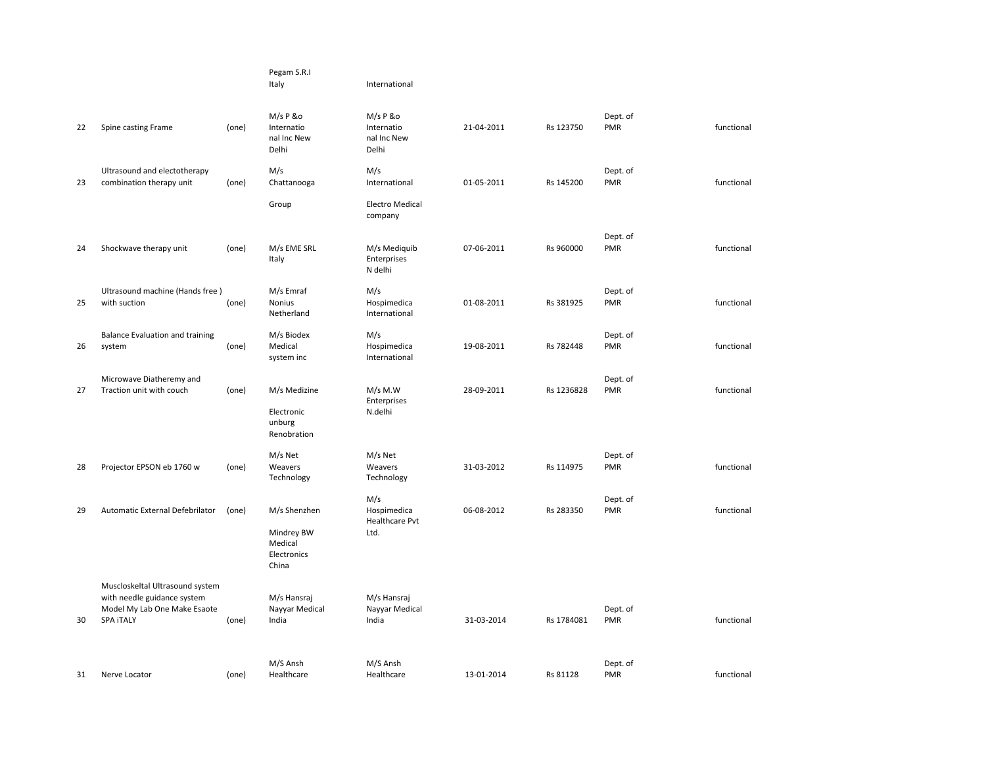|    |                                                                                                                    |       | Pegam S.R.I<br>Italy                                          | International                                       |            |            |                        |            |
|----|--------------------------------------------------------------------------------------------------------------------|-------|---------------------------------------------------------------|-----------------------------------------------------|------------|------------|------------------------|------------|
| 22 | Spine casting Frame                                                                                                | (one) | M/s P &o<br>Internatio<br>nal Inc New<br>Delhi                | M/s P &o<br>Internatio<br>nal Inc New<br>Delhi      | 21-04-2011 | Rs 123750  | Dept. of<br><b>PMR</b> | functional |
| 23 | Ultrasound and electotherapy<br>combination therapy unit                                                           | (one) | M/s<br>Chattanooga                                            | M/s<br>International                                | 01-05-2011 | Rs 145200  | Dept. of<br><b>PMR</b> | functional |
|    |                                                                                                                    |       | Group                                                         | <b>Electro Medical</b><br>company                   |            |            |                        |            |
| 24 | Shockwave therapy unit                                                                                             | (one) | M/s EME SRL<br>Italy                                          | M/s Mediquib<br>Enterprises<br>N delhi              | 07-06-2011 | Rs 960000  | Dept. of<br><b>PMR</b> | functional |
| 25 | Ultrasound machine (Hands free)<br>with suction                                                                    | (one) | M/s Emraf<br>Nonius<br>Netherland                             | M/s<br>Hospimedica<br>International                 | 01-08-2011 | Rs 381925  | Dept. of<br><b>PMR</b> | functional |
| 26 | <b>Balance Evaluation and training</b><br>system                                                                   | (one) | M/s Biodex<br>Medical<br>system inc                           | M/s<br>Hospimedica<br>International                 | 19-08-2011 | Rs 782448  | Dept. of<br><b>PMR</b> | functional |
| 27 | Microwave Diatheremy and<br>Traction unit with couch                                                               | (one) | M/s Medizine<br>Electronic<br>unburg<br>Renobration           | $M/s$ M.W<br>Enterprises<br>N.delhi                 | 28-09-2011 | Rs 1236828 | Dept. of<br><b>PMR</b> | functional |
| 28 | Projector EPSON eb 1760 w                                                                                          | (one) | M/s Net<br>Weavers<br>Technology                              | M/s Net<br>Weavers<br>Technology                    | 31-03-2012 | Rs 114975  | Dept. of<br><b>PMR</b> | functional |
| 29 | Automatic External Defebrilator                                                                                    | (one) | M/s Shenzhen<br>Mindrey BW<br>Medical<br>Electronics<br>China | M/s<br>Hospimedica<br><b>Healthcare Pvt</b><br>Ltd. | 06-08-2012 | Rs 283350  | Dept. of<br><b>PMR</b> | functional |
| 30 | Muscloskeltal Ultrasound system<br>with needle guidance system<br>Model My Lab One Make Esaote<br><b>SPA ITALY</b> | (one) | M/s Hansraj<br>Nayyar Medical<br>India                        | M/s Hansraj<br>Nayyar Medical<br>India              | 31-03-2014 | Rs 1784081 | Dept. of<br><b>PMR</b> | functional |
| 31 | Nerve Locator                                                                                                      | (one) | M/S Ansh<br>Healthcare                                        | M/S Ansh<br>Healthcare                              | 13-01-2014 | Rs 81128   | Dept. of<br><b>PMR</b> | functional |